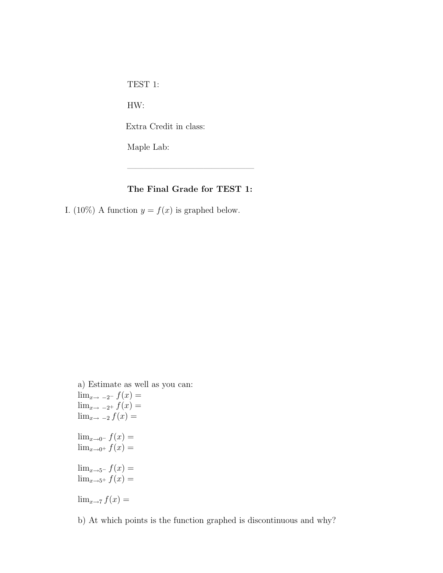TEST 1:

HW:

Extra Credit in class:

Maple Lab:

## The Final Grade for TEST 1:

———————————————

I. (10%) A function  $y = f(x)$  is graphed below.

a) Estimate as well as you can:  $\lim_{x\to -2^{-}} f(x) =$  $\lim_{x\to -2^+} f(x) =$  $\lim_{x\to -2} f(x) =$  $\lim_{x\to 0^-} f(x) =$  $\lim_{x\to 0^+} f(x) =$  $\lim_{x\to 5^{-}} f(x) =$  $\lim_{x\to 5^+} f(x) =$  $\lim_{x\to 7} f(x) =$ 

b) At which points is the function graphed is discontinuous and why?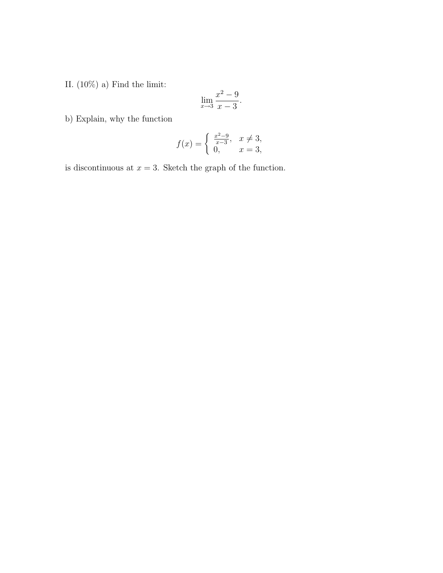II.  $(10\%)$  a) Find the limit:

$$
\lim_{x \to 3} \frac{x^2 - 9}{x - 3}.
$$

b) Explain, why the function

$$
f(x) = \begin{cases} \frac{x^2 - 9}{x - 3}, & x \neq 3, \\ 0, & x = 3, \end{cases}
$$

is discontinuous at  $x = 3$ . Sketch the graph of the function.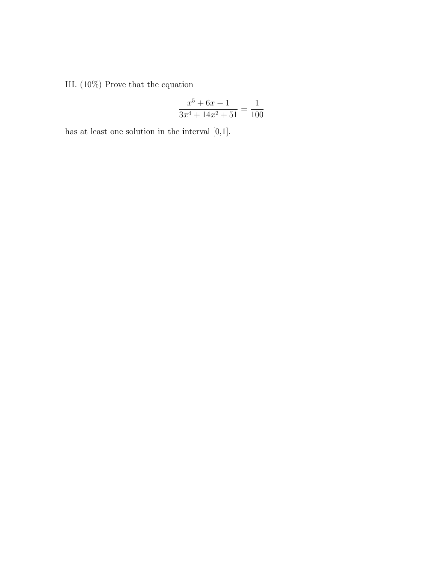III. (10%) Prove that the equation

$$
\frac{x^5 + 6x - 1}{3x^4 + 14x^2 + 51} = \frac{1}{100}
$$

has at least one solution in the interval [0,1].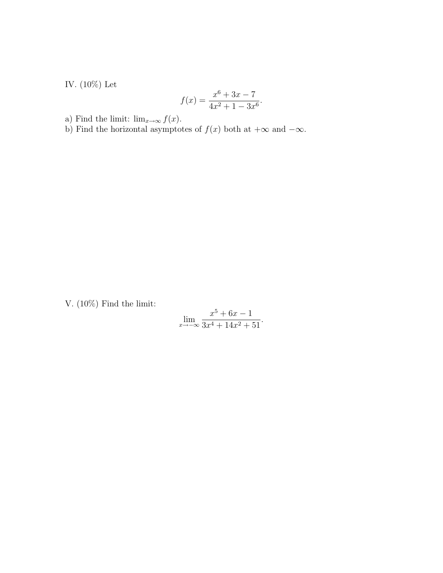IV. $(10\%)$  Let

$$
f(x) = \frac{x^6 + 3x - 7}{4x^2 + 1 - 3x^6}.
$$

a) Find the limit:  $\lim_{x\to\infty} f(x)$ .

b) Find the horizontal asymptotes of  $f(x)$  both at  $+\infty$  and  $-\infty$ .

V. (10%) Find the limit:

$$
\lim_{x \to -\infty} \frac{x^5 + 6x - 1}{3x^4 + 14x^2 + 51}.
$$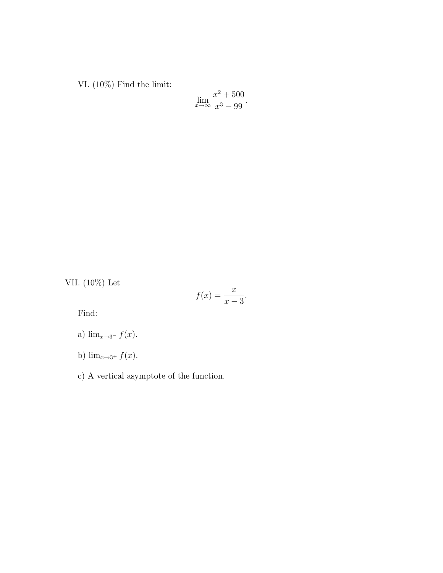VI. (10%) Find the limit:

$$
\lim_{x \to \infty} \frac{x^2 + 500}{x^3 - 99}.
$$

VII. (10%) Let

$$
f(x) = \frac{x}{x-3}.
$$

Find:

a) 
$$
\lim_{x \to 3^{-}} f(x)
$$
.

b)  $\lim_{x\to 3^+} f(x)$ .

c) A vertical asymptote of the function.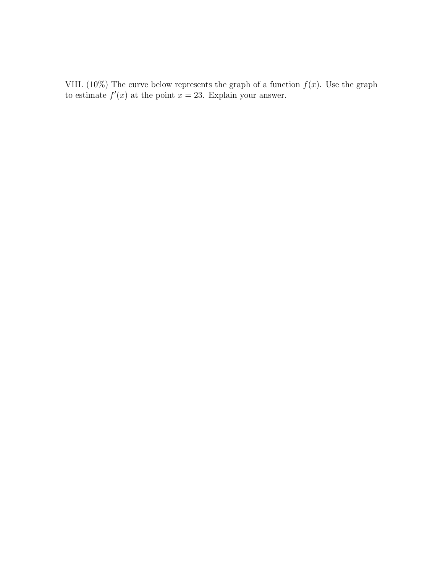VIII. (10%) The curve below represents the graph of a function  $f(x)$ . Use the graph to estimate  $f'(x)$  at the point  $x = 23$ . Explain your answer.